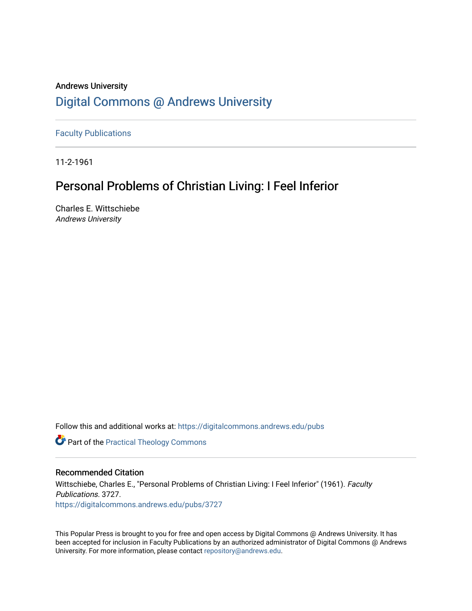## Andrews University [Digital Commons @ Andrews University](https://digitalcommons.andrews.edu/)

[Faculty Publications](https://digitalcommons.andrews.edu/pubs)

11-2-1961

# Personal Problems of Christian Living: I Feel Inferior

Charles E. Wittschiebe Andrews University

Follow this and additional works at: [https://digitalcommons.andrews.edu/pubs](https://digitalcommons.andrews.edu/pubs?utm_source=digitalcommons.andrews.edu%2Fpubs%2F3727&utm_medium=PDF&utm_campaign=PDFCoverPages) 

**Part of the [Practical Theology Commons](http://network.bepress.com/hgg/discipline/1186?utm_source=digitalcommons.andrews.edu%2Fpubs%2F3727&utm_medium=PDF&utm_campaign=PDFCoverPages)** 

### Recommended Citation

Wittschiebe, Charles E., "Personal Problems of Christian Living: I Feel Inferior" (1961). Faculty Publications. 3727. [https://digitalcommons.andrews.edu/pubs/3727](https://digitalcommons.andrews.edu/pubs/3727?utm_source=digitalcommons.andrews.edu%2Fpubs%2F3727&utm_medium=PDF&utm_campaign=PDFCoverPages) 

This Popular Press is brought to you for free and open access by Digital Commons @ Andrews University. It has been accepted for inclusion in Faculty Publications by an authorized administrator of Digital Commons @ Andrews University. For more information, please contact [repository@andrews.edu](mailto:repository@andrews.edu).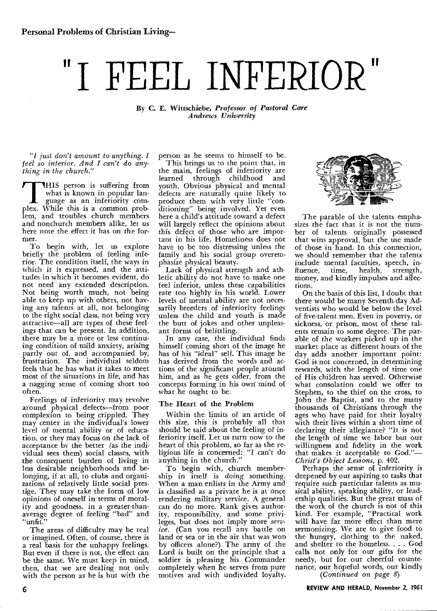# **"I FEEL INFERIOR"**

By C. E. Wittschiebe, *Professor of Pastoral Care Andrews University* 

*"I just don't amount to anything. I feel so inferior. And I can't do anything in the church."* 

THIS person is suffering from<br>
what is known in popular language as an inferiority com-<br>
plex. While this is a common prob-THIS person is suffering from<br>what is known in popular lan guage as an inferiority comlem, and troubles church members and nonchurch members alike, let us here note the effect it has on the former.

To begin with, let us explore briefly the problem of feeling inferior. The condition itself, the ways in which it is expressed, and the attitudes in which it becomes evident, do not need any extended description. Not being worth much, not being able to keep up with others, not having any talents at all, not belonging to the right social class, not being very attractive—all are types of these feelings that can be present. In addition, there may be a more or less continuing condition of mild anxiety, arising partly out of, and accompanied by, frustration. The individual seldom feels that he has what it takes to meet most of the situations in life, and has a nagging sense of coming short too often.

Feelings of inferiority may revolve around physical defects—from poor complexion to being crippled. They may center in the individual's lower level of mental ability or of education, or they may focus on the lack of acceptance by the better (as the individual sees them) social classes, with the consequent burden of living in less desirable neighborhoods and belonging, if at all, to clubs and organizations of relatively little social prestige. They may take the form of low opinions of oneself in terms of morality and goodness, in a greater-thanaverage degree of feeling "bad" and "unfit."

The areas of difficulty may be real or imagined. Often, of course, there is a real basis for the unhappy feelings. But even if there is not, the effect can be the same. We must keep in mind, then, that we are dealing not only with the person as he is but with the person as he seems to himself to be. This brings us to the point that, in the main, feelings of inferiority are<br>learned through childhood and through childhood youth. Obvious physical and mental defects are naturally quite likely to produce them with very little "conditioning" being involved. Yet even here a child's attitude toward a defect will largely reflect the opinions about this defect of those who are important in his life. Homeliness does not have to be too distressing unless the family and his social group overemphasize physical beauty.

Lack of physical strength and athletic ability do not have to make one feel inferior, unless these capabilities rate too highly in his world. Lower levels of mental ability are not necessarily breeders of inferiority feelings unless the child and youth is made the butt of jokes and other unpleasant forms of belittling.

In any case, the individual finds himself coming short of the image he has of his "ideal" self. This image he has derived from the words and actions of the significant people around him, and as he gets older, from the concepts forming in his own mind of what he ought to be.

#### The Heart of the Problem

Within the limits of an article of this size, this is probably all that should be said about the feeling of inferiority itself. Let us turn *now* to the heart of this problem, so far as the religious life is concerned: "I can't do anything in the church."

To begin with, church membership in itself is *doing* something. When a man enlists in the Army and is classified as a private he is at once rendering military service. A general can do no more. Rank gives authority, responsibility, and some privileges, but does not imply more *service.* (Can you recall any battle on land or sea or in the air that was won by officers alone?) The army of the Lord is built on the principle that a soldier is pleasing his Commander completely when he serves from pure motives and with undivided loyalty.



The parable of the talents emphasizes the fact that it is not the number of talents originally possessed that wins approval, but the use made of those in hand. In this connection, we should remember that the talents include mental faculties, speech, in-<br>fluence, time, health, strength, health, strength, money, and kindly impulses and affections.

On the basis of this list, I doubt that there would be many Seventh-day Adventists who would be below the level of five-talent men. Even in poverty, or sickness, or prison, most of these talents remain to some degree. The parable of the workers picked up in the market place at different hours of the day adds another important point: God is not concerned, in determining rewards, with the length of time one of His children has served. Otherwise what consolation could we offer to Stephen, to the thief on the cross, to John the Baptist, and to the many thousands of Christians through the ages who have paid for their loyalty with their lives within a short time of declaring their allegiance? "It is not the length of time we labor but our willingness and fidelity in the work that makes it acceptable to God."— *Christ's Object Lessons,* p. 402.

Perhaps the sense of inferiority is deepened by our aspiring to tasks that require such particular talents as musical ability, speaking ability, or leadership qualities. But the great mass of the work of the church is not of this kind. For example, "Practical work will have far more effect than mere sermonizing. We are to give food to the hungry, clothing to the naked, and shelter to the homeless. . . . God calls not only for our gifts for the needy, but for our cheerful countenance, our hopeful words, our kindly *(Continued on page 8)*